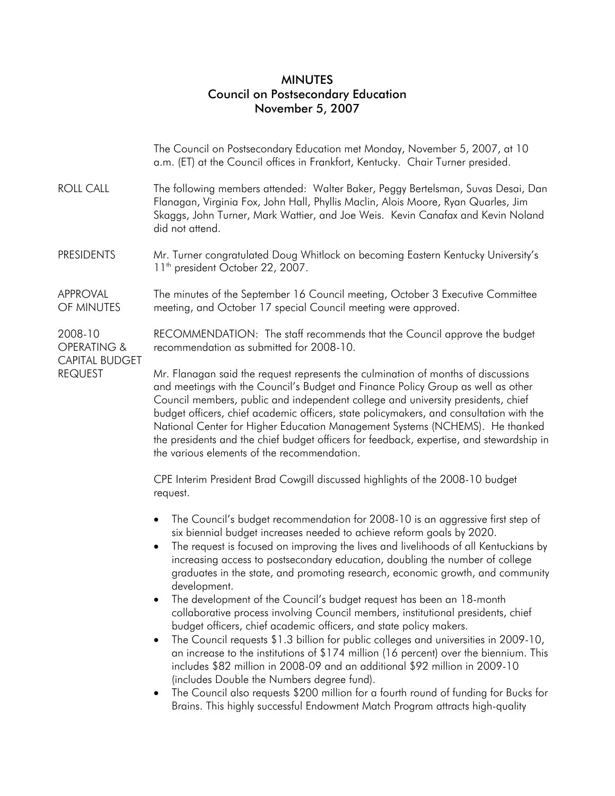## MINUTES Council on Postsecondary Education November 5, 2007

|                                                                   | The Council on Postsecondary Education met Monday, November 5, 2007, at 10<br>a.m. (ET) at the Council offices in Frankfort, Kentucky. Chair Turner presided.                                                                                                                                                                                                                                                                                                                                                                                                                                                                                                                                                                                                                                                                                                                                                                                                                                                                                                                                                                                                      |
|-------------------------------------------------------------------|--------------------------------------------------------------------------------------------------------------------------------------------------------------------------------------------------------------------------------------------------------------------------------------------------------------------------------------------------------------------------------------------------------------------------------------------------------------------------------------------------------------------------------------------------------------------------------------------------------------------------------------------------------------------------------------------------------------------------------------------------------------------------------------------------------------------------------------------------------------------------------------------------------------------------------------------------------------------------------------------------------------------------------------------------------------------------------------------------------------------------------------------------------------------|
| <b>ROLL CALL</b>                                                  | The following members attended: Walter Baker, Peggy Bertelsman, Suvas Desai, Dan<br>Flanagan, Virginia Fox, John Hall, Phyllis Maclin, Alois Moore, Ryan Quarles, Jim<br>Skaggs, John Turner, Mark Wattier, and Joe Weis. Kevin Canafax and Kevin Noland<br>did not attend.                                                                                                                                                                                                                                                                                                                                                                                                                                                                                                                                                                                                                                                                                                                                                                                                                                                                                        |
| <b>PRESIDENTS</b>                                                 | Mr. Turner congratulated Doug Whitlock on becoming Eastern Kentucky University's<br>11 <sup>th</sup> president October 22, 2007.                                                                                                                                                                                                                                                                                                                                                                                                                                                                                                                                                                                                                                                                                                                                                                                                                                                                                                                                                                                                                                   |
| APPROVAL<br>OF MINUTES                                            | The minutes of the September 16 Council meeting, October 3 Executive Committee<br>meeting, and October 17 special Council meeting were approved.                                                                                                                                                                                                                                                                                                                                                                                                                                                                                                                                                                                                                                                                                                                                                                                                                                                                                                                                                                                                                   |
| 2008-10<br>OPERATING &<br><b>CAPITAL BUDGET</b><br><b>REQUEST</b> | RECOMMENDATION: The staff recommends that the Council approve the budget<br>recommendation as submitted for 2008-10.                                                                                                                                                                                                                                                                                                                                                                                                                                                                                                                                                                                                                                                                                                                                                                                                                                                                                                                                                                                                                                               |
|                                                                   | Mr. Flanagan said the request represents the culmination of months of discussions<br>and meetings with the Council's Budget and Finance Policy Group as well as other<br>Council members, public and independent college and university presidents, chief<br>budget officers, chief academic officers, state policymakers, and consultation with the<br>National Center for Higher Education Management Systems (NCHEMS). He thanked<br>the presidents and the chief budget officers for feedback, expertise, and stewardship in<br>the various elements of the recommendation.                                                                                                                                                                                                                                                                                                                                                                                                                                                                                                                                                                                    |
|                                                                   | CPE Interim President Brad Cowgill discussed highlights of the 2008-10 budget<br>request.                                                                                                                                                                                                                                                                                                                                                                                                                                                                                                                                                                                                                                                                                                                                                                                                                                                                                                                                                                                                                                                                          |
|                                                                   | The Council's budget recommendation for 2008-10 is an aggressive first step of<br>$\bullet$<br>six biennial budget increases needed to achieve reform goals by 2020.<br>The request is focused on improving the lives and livelihoods of all Kentuckians by<br>increasing access to postsecondary education, doubling the number of college<br>graduates in the state, and promoting research, economic growth, and community<br>development.<br>The development of the Council's budget request has been an 18-month<br>collaborative process involving Council members, institutional presidents, chief<br>budget officers, chief academic officers, and state policy makers.<br>The Council requests \$1.3 billion for public colleges and universities in 2009-10,<br>an increase to the institutions of \$174 million (16 percent) over the biennium. This<br>includes \$82 million in 2008-09 and an additional \$92 million in 2009-10<br>(includes Double the Numbers degree fund).<br>The Council also requests \$200 million for a fourth round of funding for Bucks for<br>Brains. This highly successful Endowment Match Program attracts high-quality |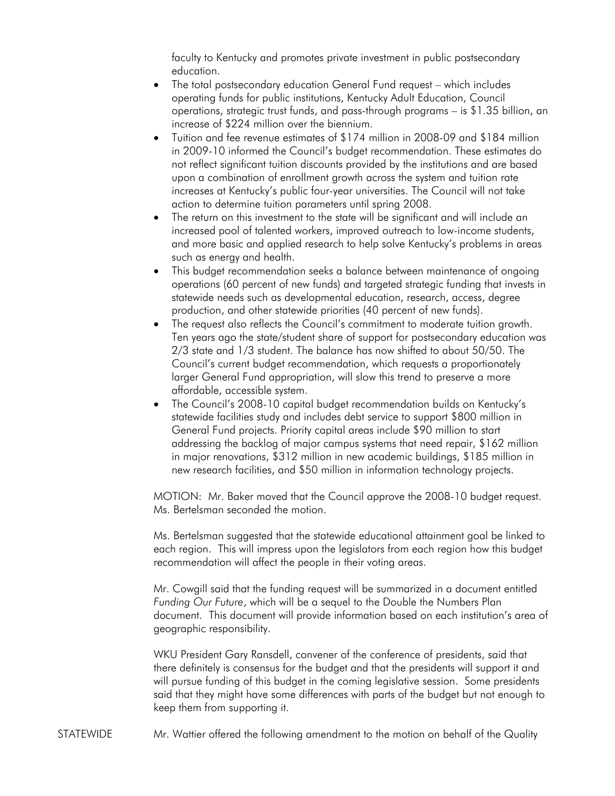faculty to Kentucky and promotes private investment in public postsecondary education.

- The total postsecondary education General Fund request which includes operating funds for public institutions, Kentucky Adult Education, Council operations, strategic trust funds, and pass-through programs – is \$1.35 billion, an increase of \$224 million over the biennium.
- Tuition and fee revenue estimates of \$174 million in 2008-09 and \$184 million in 2009-10 informed the Council's budget recommendation. These estimates do not reflect significant tuition discounts provided by the institutions and are based upon a combination of enrollment growth across the system and tuition rate increases at Kentucky's public four-year universities. The Council will not take action to determine tuition parameters until spring 2008.
- The return on this investment to the state will be significant and will include an increased pool of talented workers, improved outreach to low-income students, and more basic and applied research to help solve Kentucky's problems in areas such as energy and health.
- This budget recommendation seeks a balance between maintenance of ongoing operations (60 percent of new funds) and targeted strategic funding that invests in statewide needs such as developmental education, research, access, degree production, and other statewide priorities (40 percent of new funds).
- The request also reflects the Council's commitment to moderate tuition growth. Ten years ago the state/student share of support for postsecondary education was 2/3 state and 1/3 student. The balance has now shifted to about 50/50. The Council's current budget recommendation, which requests a proportionately larger General Fund appropriation, will slow this trend to preserve a more affordable, accessible system.
- The Council's 2008-10 capital budget recommendation builds on Kentucky's statewide facilities study and includes debt service to support \$800 million in General Fund projects. Priority capital areas include \$90 million to start addressing the backlog of major campus systems that need repair, \$162 million in major renovations, \$312 million in new academic buildings, \$185 million in new research facilities, and \$50 million in information technology projects.

MOTION: Mr. Baker moved that the Council approve the 2008-10 budget request. Ms. Bertelsman seconded the motion.

Ms. Bertelsman suggested that the statewide educational attainment goal be linked to each region. This will impress upon the legislators from each region how this budget recommendation will affect the people in their voting areas.

Mr. Cowgill said that the funding request will be summarized in a document entitled *Funding Our Future*, which will be a sequel to the Double the Numbers Plan document. This document will provide information based on each institution's area of geographic responsibility.

WKU President Gary Ransdell, convener of the conference of presidents, said that there definitely is consensus for the budget and that the presidents will support it and will pursue funding of this budget in the coming legislative session. Some presidents said that they might have some differences with parts of the budget but not enough to keep them from supporting it.

STATEWIDE Mr. Wattier offered the following amendment to the motion on behalf of the Quality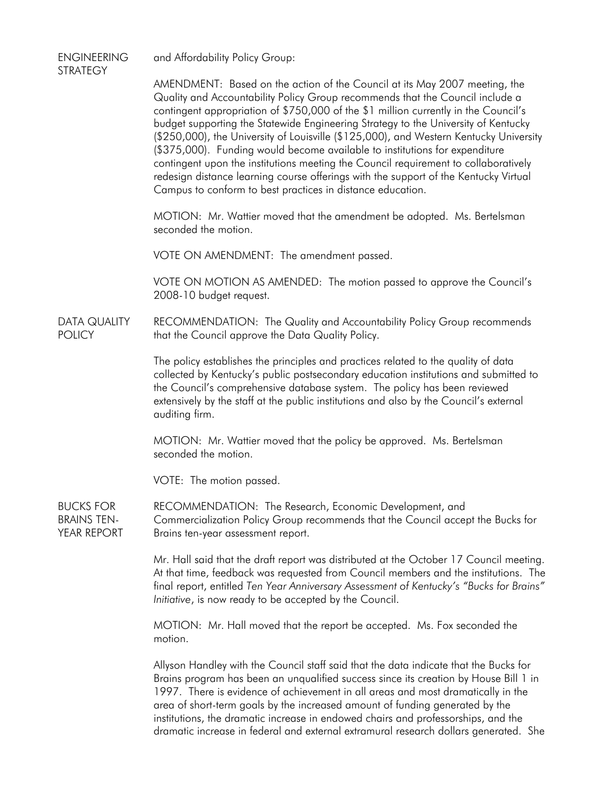| <b>ENGINEERING</b><br><b>STRATEGY</b>                 | and Affordability Policy Group:                                                                                                                                                                                                                                                                                                                                                                                                                                                                                                                                                                                                                                                                                                                                |
|-------------------------------------------------------|----------------------------------------------------------------------------------------------------------------------------------------------------------------------------------------------------------------------------------------------------------------------------------------------------------------------------------------------------------------------------------------------------------------------------------------------------------------------------------------------------------------------------------------------------------------------------------------------------------------------------------------------------------------------------------------------------------------------------------------------------------------|
|                                                       | AMENDMENT: Based on the action of the Council at its May 2007 meeting, the<br>Quality and Accountability Policy Group recommends that the Council include a<br>contingent appropriation of \$750,000 of the \$1 million currently in the Council's<br>budget supporting the Statewide Engineering Strategy to the University of Kentucky<br>(\$250,000), the University of Louisville (\$125,000), and Western Kentucky University<br>(\$375,000). Funding would become available to institutions for expenditure<br>contingent upon the institutions meeting the Council requirement to collaboratively<br>redesign distance learning course offerings with the support of the Kentucky Virtual<br>Campus to conform to best practices in distance education. |
|                                                       | MOTION: Mr. Wattier moved that the amendment be adopted. Ms. Bertelsman<br>seconded the motion.                                                                                                                                                                                                                                                                                                                                                                                                                                                                                                                                                                                                                                                                |
|                                                       | VOTE ON AMENDMENT: The amendment passed.                                                                                                                                                                                                                                                                                                                                                                                                                                                                                                                                                                                                                                                                                                                       |
|                                                       | VOTE ON MOTION AS AMENDED: The motion passed to approve the Council's<br>2008-10 budget request.                                                                                                                                                                                                                                                                                                                                                                                                                                                                                                                                                                                                                                                               |
| <b>DATA QUALITY</b><br><b>POLICY</b>                  | RECOMMENDATION: The Quality and Accountability Policy Group recommends<br>that the Council approve the Data Quality Policy.                                                                                                                                                                                                                                                                                                                                                                                                                                                                                                                                                                                                                                    |
|                                                       | The policy establishes the principles and practices related to the quality of data<br>collected by Kentucky's public postsecondary education institutions and submitted to<br>the Council's comprehensive database system. The policy has been reviewed<br>extensively by the staff at the public institutions and also by the Council's external<br>auditing firm.                                                                                                                                                                                                                                                                                                                                                                                            |
|                                                       | MOTION: Mr. Wattier moved that the policy be approved. Ms. Bertelsman<br>seconded the motion.                                                                                                                                                                                                                                                                                                                                                                                                                                                                                                                                                                                                                                                                  |
|                                                       | VOTE: The motion passed.                                                                                                                                                                                                                                                                                                                                                                                                                                                                                                                                                                                                                                                                                                                                       |
| <b>BUCKS FOR</b><br><b>BRAINS TEN-</b><br>YEAR REPORT | RECOMMENDATION: The Research, Economic Development, and<br>Commercialization Policy Group recommends that the Council accept the Bucks for<br>Brains ten-year assessment report.                                                                                                                                                                                                                                                                                                                                                                                                                                                                                                                                                                               |
|                                                       | Mr. Hall said that the draft report was distributed at the October 17 Council meeting.<br>At that time, feedback was requested from Council members and the institutions. The<br>final report, entitled Ten Year Anniversary Assessment of Kentucky's "Bucks for Brains"<br>Initiative, is now ready to be accepted by the Council.                                                                                                                                                                                                                                                                                                                                                                                                                            |
|                                                       | MOTION: Mr. Hall moved that the report be accepted. Ms. Fox seconded the<br>motion.                                                                                                                                                                                                                                                                                                                                                                                                                                                                                                                                                                                                                                                                            |
|                                                       | Allyson Handley with the Council staff said that the data indicate that the Bucks for<br>Brains program has been an unqualified success since its creation by House Bill 1 in<br>1997. There is evidence of achievement in all areas and most dramatically in the                                                                                                                                                                                                                                                                                                                                                                                                                                                                                              |

area of short-term goals by the increased amount of funding generated by the institutions, the dramatic increase in endowed chairs and professorships, and the dramatic increase in federal and external extramural research dollars generated. She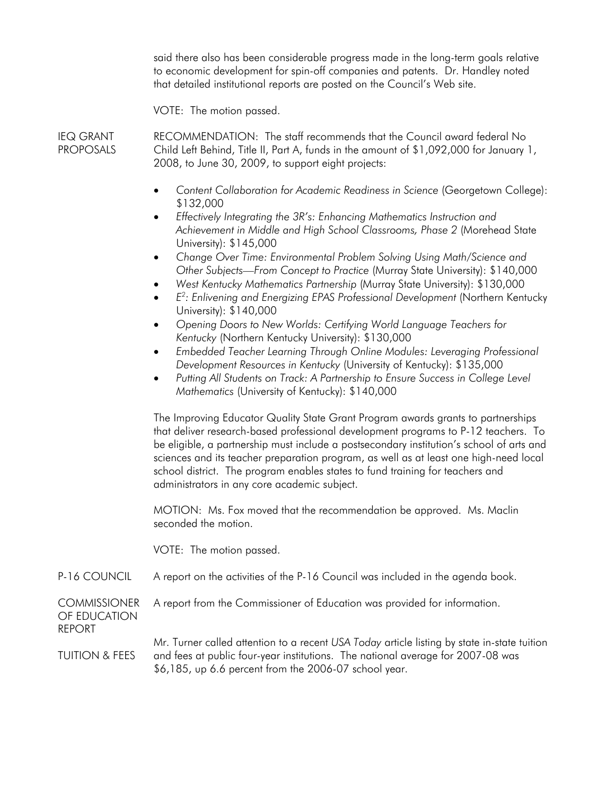said there also has been considerable progress made in the long-term goals relative to economic development for spin-off companies and patents. Dr. Handley noted that detailed institutional reports are posted on the Council's Web site.

VOTE: The motion passed.

IEQ GRANT PROPOSALS RECOMMENDATION: The staff recommends that the Council award federal No Child Left Behind, Title II, Part A, funds in the amount of \$1,092,000 for January 1, 2008, to June 30, 2009, to support eight projects:

- *Content Collaboration for Academic Readiness in Science* (Georgetown College): \$132,000
- *Effectively Integrating the 3R's: Enhancing Mathematics Instruction and*  Achievement in Middle and High School Classrooms, Phase 2 (Morehead State University): \$145,000
- *Change Over Time: Environmental Problem Solving Using Math/Science and Other Subjects—From Concept to Practice* (Murray State University): \$140,000
- *West Kentucky Mathematics Partnership* (Murray State University): \$130,000
- *E*<sup>2</sup>: Enlivening and Energizing EPAS Professional Development (Northern Kentucky University): \$140,000
- *Opening Doors to New Worlds: Certifying World Language Teachers for Kentucky* (Northern Kentucky University): \$130,000
- *Embedded Teacher Learning Through Online Modules: Leveraging Professional Development Resources in Kentucky* (University of Kentucky): \$135,000
- *Putting All Students on Track: A Partnership to Ensure Success in College Level Mathematics* (University of Kentucky): \$140,000

The Improving Educator Quality State Grant Program awards grants to partnerships that deliver research-based professional development programs to P-12 teachers. To be eligible, a partnership must include a postsecondary institution's school of arts and sciences and its teacher preparation program, as well as at least one high-need local school district. The program enables states to fund training for teachers and administrators in any core academic subject.

MOTION: Ms. Fox moved that the recommendation be approved. Ms. Maclin seconded the motion.

A report from the Commissioner of Education was provided for information.

VOTE: The motion passed.

P-16 COUNCIL A report on the activities of the P-16 Council was included in the agenda book.

**COMMISSIONER** OF EDUCATION REPORT

TUITION & FEES Mr. Turner called attention to a recent *USA Today* article listing by state in-state tuition and fees at public four-year institutions. The national average for 2007-08 was \$6,185, up 6.6 percent from the 2006-07 school year.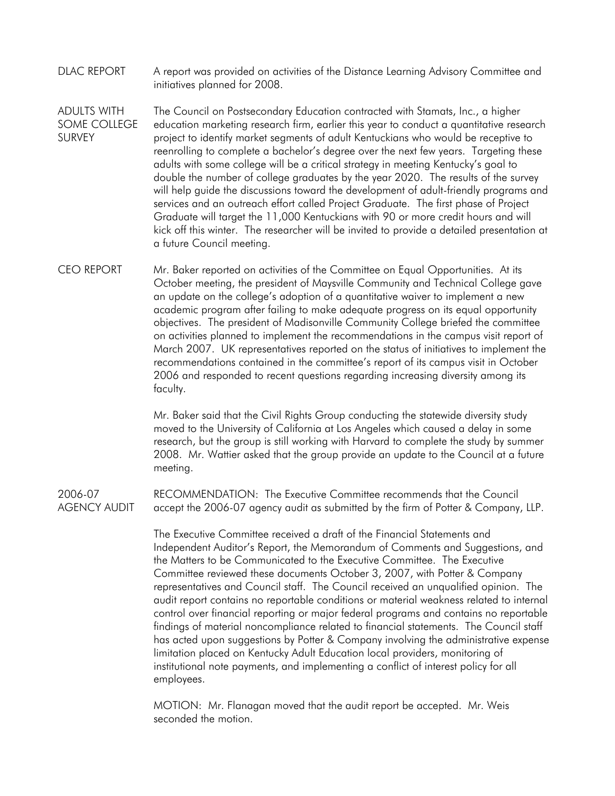- DLAC REPORT A report was provided on activities of the Distance Learning Advisory Committee and initiatives planned for 2008.
- ADULTS WITH SOME COLLEGE SURVEY The Council on Postsecondary Education contracted with Stamats, Inc., a higher education marketing research firm, earlier this year to conduct a quantitative research project to identify market segments of adult Kentuckians who would be receptive to reenrolling to complete a bachelor's degree over the next few years. Targeting these adults with some college will be a critical strategy in meeting Kentucky's goal to double the number of college graduates by the year 2020. The results of the survey will help guide the discussions toward the development of adult-friendly programs and services and an outreach effort called Project Graduate. The first phase of Project Graduate will target the 11,000 Kentuckians with 90 or more credit hours and will kick off this winter. The researcher will be invited to provide a detailed presentation at a future Council meeting.
- CEO REPORT Mr. Baker reported on activities of the Committee on Equal Opportunities. At its October meeting, the president of Maysville Community and Technical College gave an update on the college's adoption of a quantitative waiver to implement a new academic program after failing to make adequate progress on its equal opportunity objectives. The president of Madisonville Community College briefed the committee on activities planned to implement the recommendations in the campus visit report of March 2007. UK representatives reported on the status of initiatives to implement the recommendations contained in the committee's report of its campus visit in October 2006 and responded to recent questions regarding increasing diversity among its faculty.

Mr. Baker said that the Civil Rights Group conducting the statewide diversity study moved to the University of California at Los Angeles which caused a delay in some research, but the group is still working with Harvard to complete the study by summer 2008. Mr. Wattier asked that the group provide an update to the Council at a future meeting.

2006-07 AGENCY AUDIT RECOMMENDATION: The Executive Committee recommends that the Council accept the 2006-07 agency audit as submitted by the firm of Potter & Company, LLP.

> The Executive Committee received a draft of the Financial Statements and Independent Auditor's Report, the Memorandum of Comments and Suggestions, and the Matters to be Communicated to the Executive Committee. The Executive Committee reviewed these documents October 3, 2007, with Potter & Company representatives and Council staff. The Council received an unqualified opinion. The audit report contains no reportable conditions or material weakness related to internal control over financial reporting or major federal programs and contains no reportable findings of material noncompliance related to financial statements. The Council staff has acted upon suggestions by Potter & Company involving the administrative expense limitation placed on Kentucky Adult Education local providers, monitoring of institutional note payments, and implementing a conflict of interest policy for all employees.

MOTION: Mr. Flanagan moved that the audit report be accepted. Mr. Weis seconded the motion.